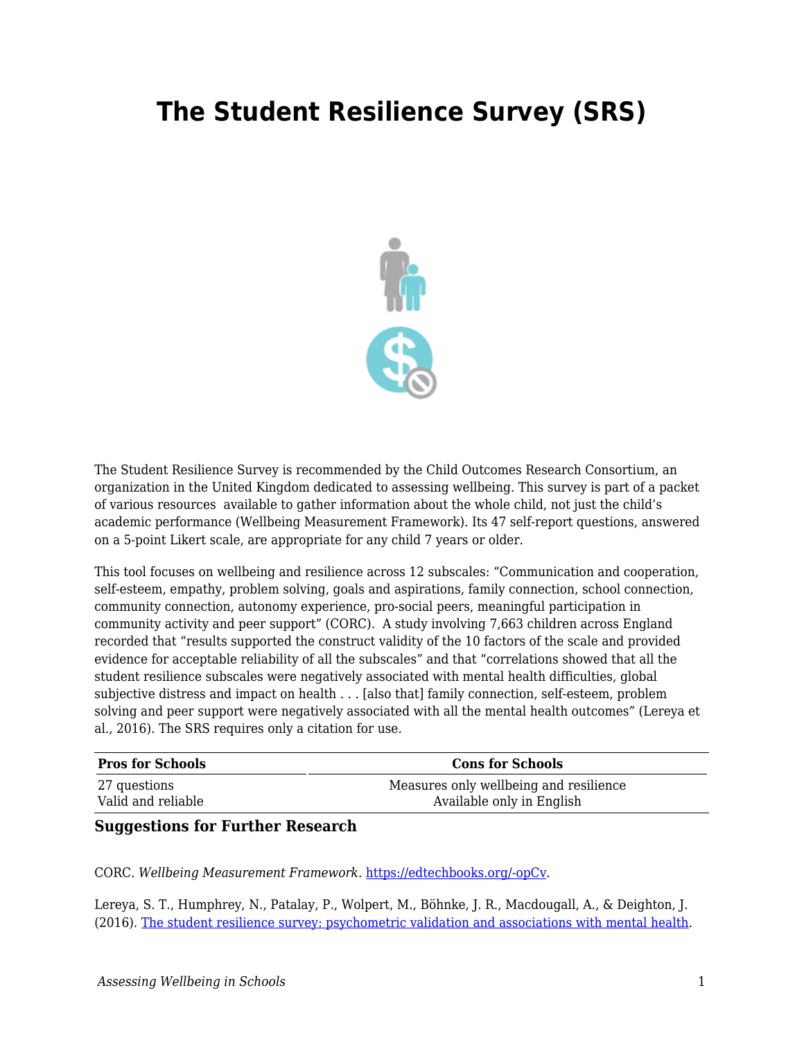## **The Student Resilience Survey (SRS)**



The Student Resilience Survey is recommended by the Child Outcomes Research Consortium, an organization in the United Kingdom dedicated to assessing wellbeing. This survey is part of a packet of various resources available to gather information about the whole child, not just the child's academic performance (Wellbeing Measurement Framework). Its 47 self-report questions, answered on a 5-point Likert scale, are appropriate for any child 7 years or older.

This tool focuses on wellbeing and resilience across 12 subscales: "Communication and cooperation, self-esteem, empathy, problem solving, goals and aspirations, family connection, school connection, community connection, autonomy experience, pro-social peers, meaningful participation in community activity and peer support" (CORC). A study involving 7,663 children across England recorded that "results supported the construct validity of the 10 factors of the scale and provided evidence for acceptable reliability of all the subscales" and that "correlations showed that all the student resilience subscales were negatively associated with mental health difficulties, global subjective distress and impact on health . . . [also that] family connection, self-esteem, problem solving and peer support were negatively associated with all the mental health outcomes" (Lereya et al., 2016). The SRS requires only a citation for use.

| <b>Pros for Schools</b> | <b>Cons for Schools</b>                |
|-------------------------|----------------------------------------|
| 27 questions            | Measures only wellbeing and resilience |
| Valid and reliable      | Available only in English              |

## **Suggestions for Further Research**

CORC. *Wellbeing Measurement Framework.* [https://edtechbooks.org/-opCv](https://www.corc.uk.net/outcome-experience-measures/student-resilience-survey/).

Lereya, S. T., Humphrey, N., Patalay, P., Wolpert, M., Böhnke, J. R., Macdougall, A., & Deighton, J. (2016). [The student resilience survey: psychometric validation and associations with mental health.](https://capmh.biomedcentral.com/articles/10.1186/s13034-016-0132-5)